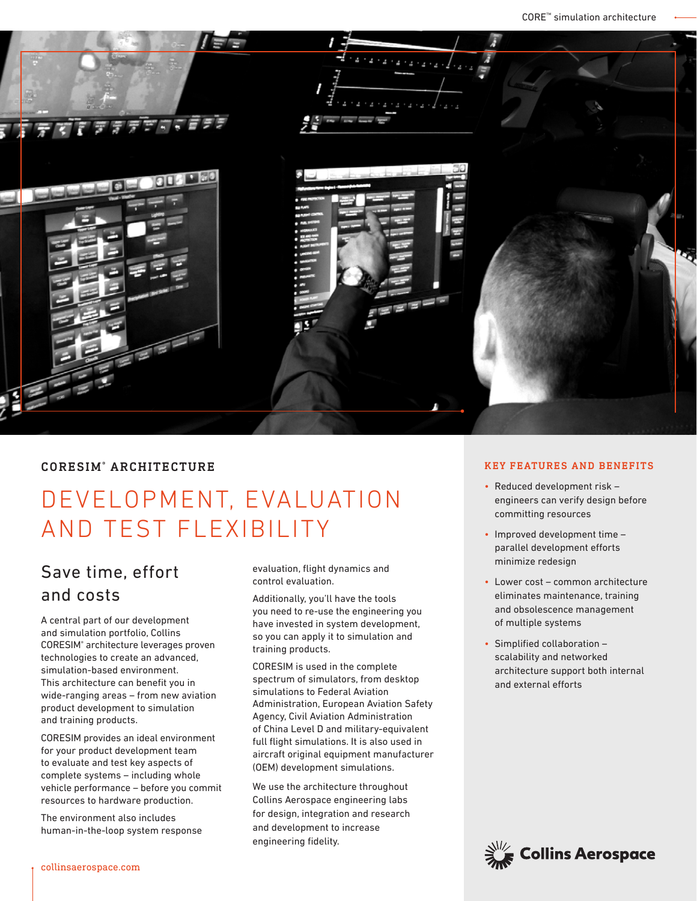

# CORESIM® ARCHITECTURE

# DEVELOPMENT, EVALUATION AND TEST FLEXIBILITY

# Save time, effort and costs

A central part of our development and simulation portfolio, Collins CORESIM® architecture leverages proven technologies to create an advanced, simulation-based environment. This architecture can benefit you in wide-ranging areas – from new aviation product development to simulation and training products.

CORESIM provides an ideal environment for your product development team to evaluate and test key aspects of complete systems – including whole vehicle performance – before you commit resources to hardware production.

The environment also includes human-in-the-loop system response evaluation, flight dynamics and control evaluation.

Additionally, you'll have the tools you need to re-use the engineering you have invested in system development, so you can apply it to simulation and training products.

CORESIM is used in the complete spectrum of simulators, from desktop simulations to Federal Aviation Administration, European Aviation Safety Agency, Civil Aviation Administration of China Level D and military-equivalent full flight simulations. It is also used in aircraft original equipment manufacturer (OEM) development simulations.

We use the architecture throughout Collins Aerospace engineering labs for design, integration and research and development to increase engineering fidelity.

## KEY FEATURES AND BENEFITS

- Reduced development risk engineers can verify design before committing resources
- Improved development time parallel development efforts minimize redesign
- Lower cost common architecture eliminates maintenance, training and obsolescence management of multiple systems
- Simplified collaboration scalability and networked architecture support both internal and external efforts